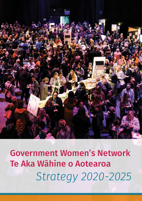

Government Women's Network Te Aka Wāhine o Aotearoa *Strategy 2020-2025*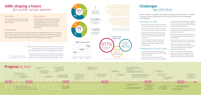# Challenges *we still face* We still face

By continuing our support for GWN and networks By continuing our support for GWN and networks **That are empowering women to succeed, we all** contribute to a stronger and thriving public sector. ontribute to a stronger and thriving public sector.  $ving public's$ e

As<br>they ar<br>gender<br>pro As women's networks mature, As women's networks mature, they are helping senior leadership they are helping senior leadership teams to tackle their agency's teams to tackle their agency's gender equality issues, supporting gender equality issues, supporting professional development and 2,100 professional development and 2,100 shaping workplace culture. shaping workplace culture. "

# GWN: shaping a future *for public sector women* GWN: shaping a future *for public sector women*

### Our vision Our vision

New Zealand's public service values all women New Zealand's public service values all women and champions and empowers them to realise and champions and empowers them to realise their full potential. their full potential.

Our mission Our mission

GWN strengthens and connects women's networks GWN strengthens and connects women's networks throughout the public sector, and provides guidance, throughout the public sector, and provides guidance, support, opportunities and resources. Our work support, opportunities and resources. Our work ensures that women have resources to flourish ensures that women have resources to flourish and contributes to creating a diverse and inclusive and contributes to creating a diverse and inclusive public service. public service.

### Our purpose Our purpose

GWN leverages the wealth and value of the women's experience and knowledge through its networks to address GWN leverages the wealth and value of the women's experience and knowledge through its networks to address dwn teverages the weathr and vatue of the women's experience and knowledge through its hetworks to address<br>issues for public sector women including imbalances in gender roles, advancement, and leadership in the public service. Using our collective strength, we help achieve the potential of a diverse and inclusive public service by<br>ensuring greater visibility, support, and connectivity for women's networks across all agencies. ensuring greater visibility, support, and connectivity for women's networks across all agencies. 2,141 ensuring greater visibility, support, and connectivity for women's networks across all agencies.

> The Contract of the Contract of the Contract of the Contract of the Contract of the Contract of Contract of Contract of Contract of Contract of Contract of Contract of Contract of Contract of Contract of Contract of Contra Women in New Zealand's public service are having Women in New Zealand's public service are having a significant impact and agencies are making a significant impact and agencies are making important headway in addressing gender equality. important headway in addressing gender equality. The Constrainer Constrainer Construction Construction Construction Construction Construction Construction Construction Construction Construction Construction Construction Construction Construction Construction Construction

Women's networks have grown and significant progress has been made on a number Women's networks have grown and significant progress has been made on a number of issues for public sector women in recent years, but there are still challenges of issues for public sector women in recent years, but there are still challenges to be addressed. to be addressed.

### Challenges for GWN Challenges for GWN

- > Many women in the public sector are not aware of > Many women in the public sector are not aware of women's networks and the support they can access women's networks and the support they can access
- > Not all women in the public sector have access to > Not all women in the public sector have access to the support of a women's network in their agency the support of a women's network in their agency
- > Not all women in the public sector have access > Not all women in the public sector have access to women's networks in their region, particularly to women's networks in their region, particularly if they work far from Wellington, Auckland and if they work far from Wellington, Auckland and Christchurch Christchurch
- > Success for women's networks is dependent on > Success for women's networks is dependent on committed individual members which makes committed individual members which makes networks vulnerable when members leave or networks vulnerable when members leave or change priorities. change priorities.

## Challenges for the public sector Challenges for the public sector

Women's networks need to maintain momentum into the future if we're to fully leverage future if we're to fully leverage women's potential in the  $\mu$ public sector. public sector.

- > Low-skill and low-paid roles are still primarily > Low-skill and low-paid roles are still primarily held by women and career advancement in these held by women and career advancement in these roles is more difficult roles is more difficult
- > Gender parity in senior management or key > Gender parity in senior management or key decision-making roles has not yet been achieved decision-making roles has not yet been achieved
- > A 10.5% gender pay gap still exists for all women in > A 10.5% gender pay gap still exists for all women in the public service and a lack of pay transparency the public service and a lack of pay transparency can prevent women being able to gauge if they are can prevent women being able to gauge if they are paid appropriately for their roles paid appropriately for their roles
- > Inconsistencies persist across agencies and with > Inconsistencies persist across agencies and with individual managers in the application of policies individual managers in the application of policies affecting working mothers affecting working mothers
- > Women still report fear of adverse consequences > Women still report fear of adverse consequences for adopting flexible work to accommodate their for adopting flexible work to accommodate their work-life balance work-life balance
- > Men can feel uncertain on how to help but their > Men can feel uncertain on how to help but their involvement and support is essential and welcome involvement and support is essential and welcome
- > There is more work to be done to address > There is more work to be done to address unconscious bias, harassment and discrimination unconscious bias, harassment and discrimination in areas like recruitment practices, workforce in areas like recruitment practices, workforce management and promotions management and promotions
- > Women in some groups can face additional > Women in some groups can face additional barriers for their entry to and progress in the barriers for their entry to and progress in the public sector workforce, for example, a gender public sector workforce, for example, a gender pay gap of 27% still persists for Pacific women. pay gap of 27% still persists for Pacific women.



*Karin Schofield, GM Enterprise Strategy,*  Aug 17 Dec 18 Oct 19 *Karin Schofield, GM Enterprise Strategy,*  Aug 17 Dec 18 Oct 19 *Governance and Performance, MBIE Governance and Performance, MBIE*



*Naomi Ferguson, GWN Sponsor Naomi Ferguson, GWN Sponsor and Commissioner, Inland Revenue and Commissioner, Inland Revenue*





*Source: Public Service Workforce Data 2019, State Services Commission Source: Public Service Workforce Data 2019, State Services Commission*